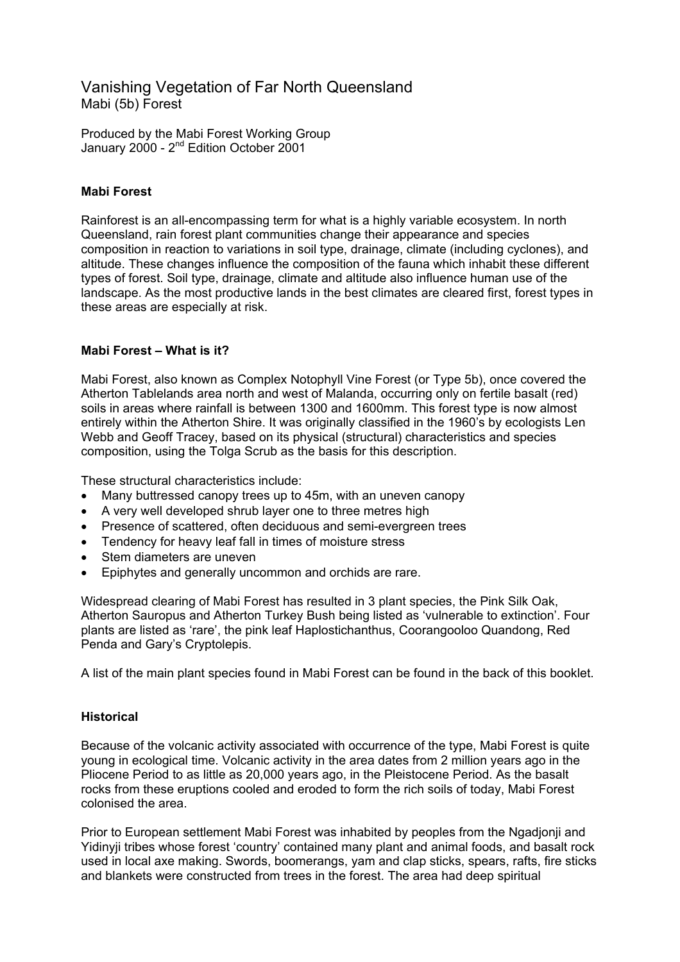# Vanishing Vegetation of Far North Queensland Mabi (5b) Forest

Produced by the Mabi Forest Working Group January 2000 - 2nd Edition October 2001

# **Mabi Forest**

Rainforest is an all-encompassing term for what is a highly variable ecosystem. In north Queensland, rain forest plant communities change their appearance and species composition in reaction to variations in soil type, drainage, climate (including cyclones), and altitude. These changes influence the composition of the fauna which inhabit these different types of forest. Soil type, drainage, climate and altitude also influence human use of the landscape. As the most productive lands in the best climates are cleared first, forest types in these areas are especially at risk.

## **Mabi Forest – What is it?**

Mabi Forest, also known as Complex Notophyll Vine Forest (or Type 5b), once covered the Atherton Tablelands area north and west of Malanda, occurring only on fertile basalt (red) soils in areas where rainfall is between 1300 and 1600mm. This forest type is now almost entirely within the Atherton Shire. It was originally classified in the 1960's by ecologists Len Webb and Geoff Tracey, based on its physical (structural) characteristics and species composition, using the Tolga Scrub as the basis for this description.

These structural characteristics include:

- Many buttressed canopy trees up to 45m, with an uneven canopy
- A very well developed shrub layer one to three metres high
- Presence of scattered, often deciduous and semi-evergreen trees
- Tendency for heavy leaf fall in times of moisture stress
- Stem diameters are uneven
- Epiphytes and generally uncommon and orchids are rare.

Widespread clearing of Mabi Forest has resulted in 3 plant species, the Pink Silk Oak, Atherton Sauropus and Atherton Turkey Bush being listed as 'vulnerable to extinction'. Four plants are listed as 'rare', the pink leaf Haplostichanthus, Coorangooloo Quandong, Red Penda and Gary's Cryptolepis.

A list of the main plant species found in Mabi Forest can be found in the back of this booklet.

## **Historical**

Because of the volcanic activity associated with occurrence of the type, Mabi Forest is quite young in ecological time. Volcanic activity in the area dates from 2 million years ago in the Pliocene Period to as little as 20,000 years ago, in the Pleistocene Period. As the basalt rocks from these eruptions cooled and eroded to form the rich soils of today, Mabi Forest colonised the area.

Prior to European settlement Mabi Forest was inhabited by peoples from the Ngadjonji and Yidinyji tribes whose forest 'country' contained many plant and animal foods, and basalt rock used in local axe making. Swords, boomerangs, yam and clap sticks, spears, rafts, fire sticks and blankets were constructed from trees in the forest. The area had deep spiritual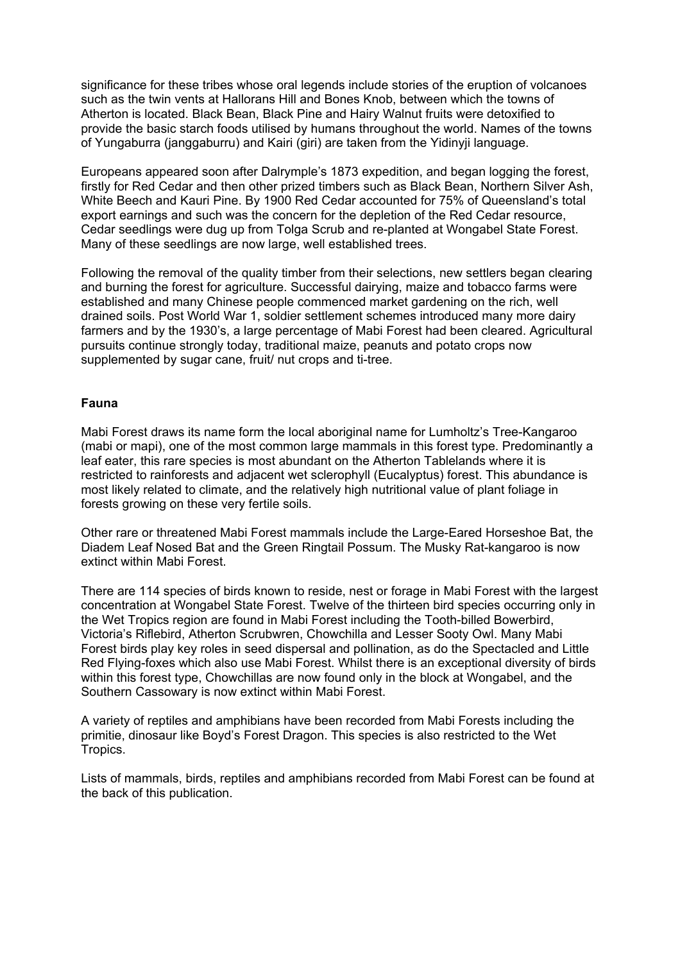significance for these tribes whose oral legends include stories of the eruption of volcanoes such as the twin vents at Hallorans Hill and Bones Knob, between which the towns of Atherton is located. Black Bean, Black Pine and Hairy Walnut fruits were detoxified to provide the basic starch foods utilised by humans throughout the world. Names of the towns of Yungaburra (janggaburru) and Kairi (giri) are taken from the Yidinyji language.

Europeans appeared soon after Dalrymple's 1873 expedition, and began logging the forest, firstly for Red Cedar and then other prized timbers such as Black Bean, Northern Silver Ash, White Beech and Kauri Pine. By 1900 Red Cedar accounted for 75% of Queensland's total export earnings and such was the concern for the depletion of the Red Cedar resource, Cedar seedlings were dug up from Tolga Scrub and re-planted at Wongabel State Forest. Many of these seedlings are now large, well established trees.

Following the removal of the quality timber from their selections, new settlers began clearing and burning the forest for agriculture. Successful dairying, maize and tobacco farms were established and many Chinese people commenced market gardening on the rich, well drained soils. Post World War 1, soldier settlement schemes introduced many more dairy farmers and by the 1930's, a large percentage of Mabi Forest had been cleared. Agricultural pursuits continue strongly today, traditional maize, peanuts and potato crops now supplemented by sugar cane, fruit/ nut crops and ti-tree.

## **Fauna**

Mabi Forest draws its name form the local aboriginal name for Lumholtz's Tree-Kangaroo (mabi or mapi), one of the most common large mammals in this forest type. Predominantly a leaf eater, this rare species is most abundant on the Atherton Tablelands where it is restricted to rainforests and adjacent wet sclerophyll (Eucalyptus) forest. This abundance is most likely related to climate, and the relatively high nutritional value of plant foliage in forests growing on these very fertile soils.

Other rare or threatened Mabi Forest mammals include the Large-Eared Horseshoe Bat, the Diadem Leaf Nosed Bat and the Green Ringtail Possum. The Musky Rat-kangaroo is now extinct within Mabi Forest.

There are 114 species of birds known to reside, nest or forage in Mabi Forest with the largest concentration at Wongabel State Forest. Twelve of the thirteen bird species occurring only in the Wet Tropics region are found in Mabi Forest including the Tooth-billed Bowerbird, Victoria's Riflebird, Atherton Scrubwren, Chowchilla and Lesser Sooty Owl. Many Mabi Forest birds play key roles in seed dispersal and pollination, as do the Spectacled and Little Red Flying-foxes which also use Mabi Forest. Whilst there is an exceptional diversity of birds within this forest type, Chowchillas are now found only in the block at Wongabel, and the Southern Cassowary is now extinct within Mabi Forest.

A variety of reptiles and amphibians have been recorded from Mabi Forests including the primitie, dinosaur like Boyd's Forest Dragon. This species is also restricted to the Wet Tropics.

Lists of mammals, birds, reptiles and amphibians recorded from Mabi Forest can be found at the back of this publication.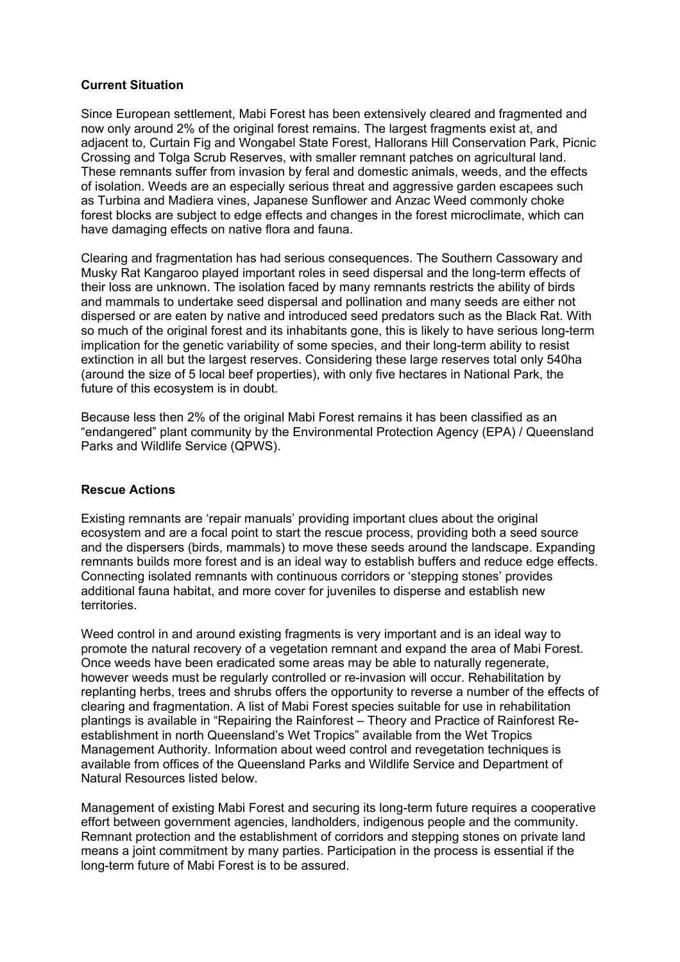### **Current Situation**

Since European settlement, Mabi Forest has been extensively cleared and fragmented and now only around 2% of the original forest remains. The largest fragments exist at, and adjacent to, Curtain Fig and Wongabel State Forest, Hallorans Hill Conservation Park, Picnic Crossing and Tolga Scrub Reserves, with smaller remnant patches on agricultural land. These remnants suffer from invasion by feral and domestic animals, weeds, and the effects of isolation. Weeds are an especially serious threat and aggressive garden escapees such as Turbina and Madiera vines, Japanese Sunflower and Anzac Weed commonly choke forest blocks are subject to edge effects and changes in the forest microclimate, which can have damaging effects on native flora and fauna.

Clearing and fragmentation has had serious consequences. The Southern Cassowary and Musky Rat Kangaroo played important roles in seed dispersal and the long-term effects of their loss are unknown. The isolation faced by many remnants restricts the ability of birds and mammals to undertake seed dispersal and pollination and many seeds are either not dispersed or are eaten by native and introduced seed predators such as the Black Rat. With so much of the original forest and its inhabitants gone, this is likely to have serious long-term implication for the genetic variability of some species, and their long-term ability to resist extinction in all but the largest reserves. Considering these large reserves total only 540ha (around the size of 5 local beef properties), with only five hectares in National Park, the future of this ecosystem is in doubt.

Because less then 2% of the original Mabi Forest remains it has been classified as an "endangered" plant community by the Environmental Protection Agency (EPA) / Queensland Parks and Wildlife Service (QPWS).

### **Rescue Actions**

Existing remnants are 'repair manuals' providing important clues about the original ecosystem and are a focal point to start the rescue process, providing both a seed source and the dispersers (birds, mammals) to move these seeds around the landscape. Expanding remnants builds more forest and is an ideal way to establish buffers and reduce edge effects. Connecting isolated remnants with continuous corridors or 'stepping stones' provides additional fauna habitat, and more cover for juveniles to disperse and establish new territories.

Weed control in and around existing fragments is very important and is an ideal way to promote the natural recovery of a vegetation remnant and expand the area of Mabi Forest. Once weeds have been eradicated some areas may be able to naturally regenerate, however weeds must be regularly controlled or re-invasion will occur. Rehabilitation by replanting herbs, trees and shrubs offers the opportunity to reverse a number of the effects of clearing and fragmentation. A list of Mabi Forest species suitable for use in rehabilitation plantings is available in "Repairing the Rainforest – Theory and Practice of Rainforest Reestablishment in north Queensland's Wet Tropics" available from the Wet Tropics Management Authority. Information about weed control and revegetation techniques is available from offices of the Queensland Parks and Wildlife Service and Department of Natural Resources listed below.

Management of existing Mabi Forest and securing its long-term future requires a cooperative effort between government agencies, landholders, indigenous people and the community. Remnant protection and the establishment of corridors and stepping stones on private land means a joint commitment by many parties. Participation in the process is essential if the long-term future of Mabi Forest is to be assured.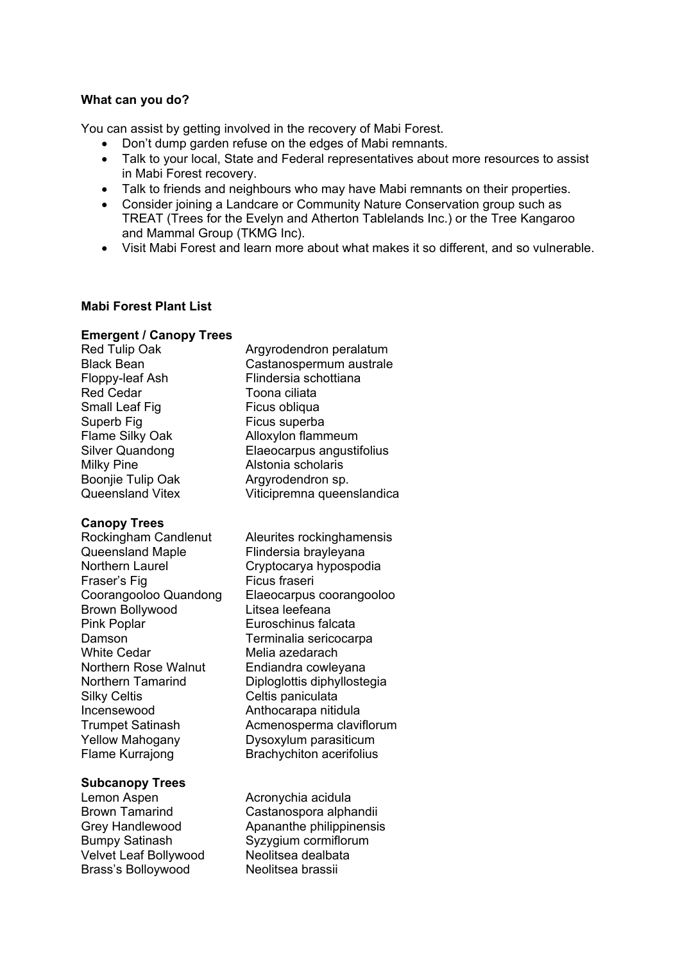### **What can you do?**

You can assist by getting involved in the recovery of Mabi Forest.

- Don't dump garden refuse on the edges of Mabi remnants.
- Talk to your local, State and Federal representatives about more resources to assist in Mabi Forest recovery.
- Talk to friends and neighbours who may have Mabi remnants on their properties.
- Consider joining a Landcare or Community Nature Conservation group such as TREAT (Trees for the Evelyn and Atherton Tablelands Inc.) or the Tree Kangaroo and Mammal Group (TKMG Inc).
- Visit Mabi Forest and learn more about what makes it so different, and so vulnerable.

### **Mabi Forest Plant List**

#### **Emergent / Canopy Trees**

Red Tulip Oak **Argyrodendron peralatum** Black Bean Castanospermum australe Floppy-leaf Ash Flindersia schottiana Red Cedar **Toona** ciliata Small Leaf Fig Ficus obliqua Superb Fig Ficus superba Flame Silky Oak Alloxylon flammeum Silver Quandong Elaeocarpus angustifolius Milky Pine **Alstonia scholaris** Boonjie Tulip Oak Argyrodendron sp. Queensland Vitex Viticipremna queenslandica

### **Canopy Trees**

Fraser's Fig Ficus fraseri Brown Bollywood Litsea leefeana Pink Poplar **Euroschinus falcata** Damson Terminalia sericocarpa White Cedar **Melia** azedarach Northern Rose Walnut Endiandra cowleyana Silky Celtis **Celtis** Celtis paniculata Incensewood Anthocarapa nitidula Yellow Mahogany Dysoxylum parasiticum Flame Kurrajong Brachychiton acerifolius

### **Subcanopy Trees**

Lemon Aspen **Acronychia** acidula Bumpy Satinash Syzygium cormiflorum Velvet Leaf Bollywood Neolitsea dealbata Brass's Bolloywood Neolitsea brassii

Rockingham Candlenut Aleurites rockinghamensis<br>Queensland Maple Flindersia brayleyana Flindersia brayleyana Northern Laurel Cryptocarya hypospodia Coorangooloo Quandong Elaeocarpus coorangooloo Northern Tamarind Diploglottis diphyllostegia Trumpet Satinash Acmenosperma claviflorum

Brown Tamarind Castanospora alphandii Grey Handlewood Apananthe philippinensis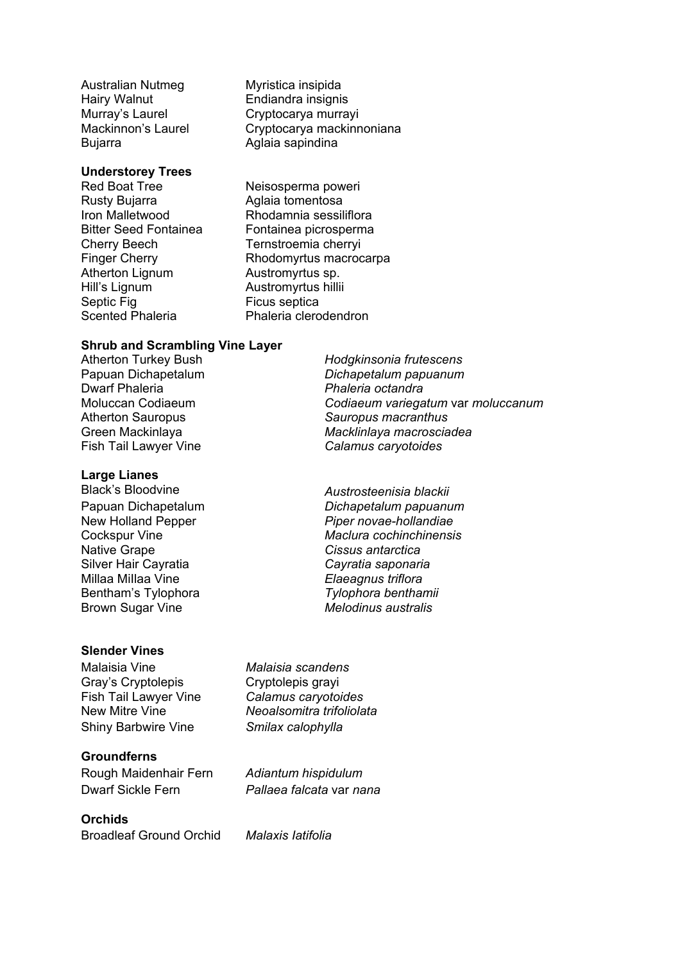Australian Nutmeg Myristica insipida Hairy Walnut **Endiandra insignis** Bujarra **Aglaia sapindina** 

### **Understorey Trees**

Rusty Bujarra **Aglaia** tomentosa Atherton Lignum **Austromyrtus sp.** Hill's Lignum **Austromyrtus hillii** Septic Fig **Figure 1** Ficus septica

Murray's Laurel Cryptocarya murrayi Mackinnon's Laurel Cryptocarya mackinnoniana

Red Boat Tree Neisosperma poweri Iron Malletwood Rhodamnia sessiliflora Bitter Seed Fontainea Fontainea picrosperma Cherry Beech Ternstroemia cherryi Finger Cherry Rhodomyrtus macrocarpa Scented Phaleria **Phaleria** Phaleria clerodendron

#### **Shrub and Scrambling Vine Layer**

Atherton Turkey Bush *Hodgkinsonia frutescens* Papuan Dichapetalum *Dichapetalum papuanum* Dwarf Phaleria *Phaleria octandra* Moluccan Codiaeum *Codiaeum variegatum* var *moluccanum* Atherton Sauropus *Sauropus macranthus* Green Mackinlaya *Macklinlaya macrosciadea* Fish Tail Lawyer Vine *Calamus caryotoides*

### **Large Lianes**

Native Grape *Cissus antarctica* Silver Hair Cayratia *Cayratia saponaria* Millaa MiIlaa Vine *Elaeagnus triflora* Bentham's Tylophora *Tylophora benthamii* Brown Sugar Vine *Melodinus australis*

### **Slender Vines**

Malaisia Vine *Malaisia scandens*  Gray's Cryptolepis Cryptolepis grayi Fish Tail Lawyer Vine *Calamus caryotoides* Shiny Barbwire Vine *Smilax calophylla* 

### **Groundferns**

Rough Maidenhair Fern *Adiantum hispidulum*  Dwarf Sickle Fern *Pallaea falcata* var *nana* 

# **Orchids**

Broadleaf Ground Orchid *Malaxis Iatifolia* 

Black's Bloodvine *Austrosteenisia blackii* Papuan Dichapetalum *Dichapetalum papuanum* New Holland Pepper *Piper novae-hollandiae* Cockspur Vine *Maclura cochinchinensis*

New Mitre Vine *Neoalsomitra trifoliolata*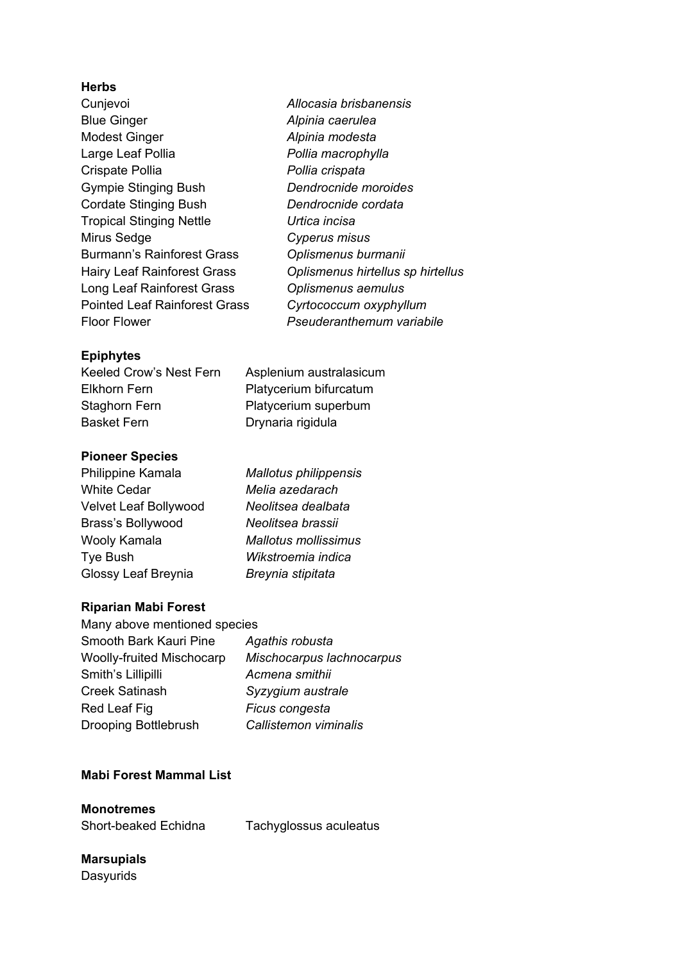### **Herbs**

- Cunjevoi *Allocasia brisbanensis* Blue Ginger *Alpinia caerulea* Modest Ginger *Alpinia modesta* Large Leaf Pollia *Pollia macrophylla* Crispate Pollia *Pollia crispata* Gympie Stinging Bush *Dendrocnide moroides* Cordate Stinging Bush *Dendrocnide cordata* Tropical Stinging Nettle *Urtica incisa* Mirus Sedge *Cyperus misus* Burmann's Rainforest Grass *Oplismenus burmanii*  Long Leaf Rainforest Grass *Oplismenus aemulus* Pointed Leaf Rainforest Grass *Cyrtococcum oxyphyllum* Floor Flower *Pseuderanthemum variabile*
- Hairy Leaf Rainforest Grass *Oplismenus hirtellus sp hirtellus*

Asplenium australasicum Platycerium bifurcatum Platycerium superbum

Drynaria rigidula

## **Epiphytes**

| Keeled Crow's Nest Fern |  |
|-------------------------|--|
| Elkhorn Fern            |  |
| Staghorn Fern           |  |
| <b>Basket Fern</b>      |  |

## **Pioneer Species**

Philippine Kamala *Mallotus philippensis* White Cedar *Melia azedarach* Velvet Leaf Bollywood *Neolitsea dealbata* Brass's Bollywood *Neolitsea brassii* Wooly Kamala *Mallotus mollissimus* Tye Bush *Wikstroemia indica* Glossy Leaf Breynia *Breynia stipitata*

# **Riparian Mabi Forest**

| Many above mentioned species |
|------------------------------|
| Agathis robusta              |
| Mischocarpus lachnocarpus    |
| Acmena smithii               |
| Syzygium australe            |
| Ficus congesta               |
| Callistemon viminalis        |
|                              |

## **Mabi Forest Mammal List**

**Monotremes** 

Short-beaked Echidna Tachyglossus aculeatus

# **Marsupials Dasyurids**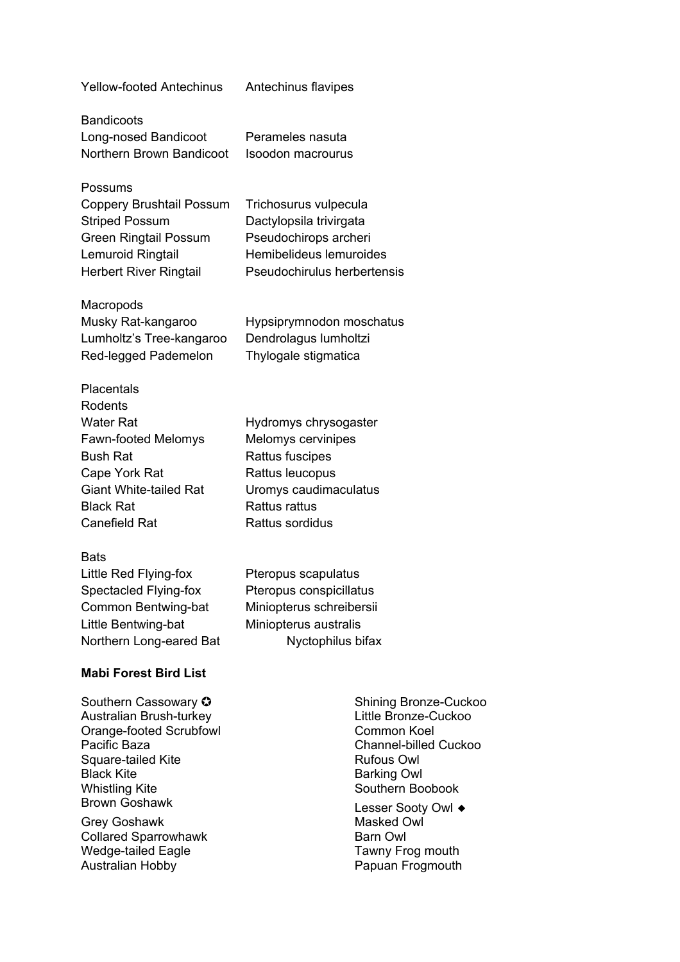Yellow-footed Antechinus Antechinus flavipes

**Bandicoots** Long-nosed Bandicoot Perameles nasuta Northern Brown Bandicoot Isoodon macrourus

Possums Coppery Brushtail Possum Trichosurus vulpecula Striped Possum Dactylopsila trivirgata Green Ringtail Possum Pseudochirops archeri Lemuroid Ringtail Hemibelideus lemuroides Herbert River Ringtail Pseudochirulus herbertensis

**Macropods** Musky Rat-kangaroo Hypsiprymnodon moschatus Lumholtz's Tree-kangaroo Dendrolagus lumholtzi Red-legged Pademelon Thylogale stigmatica

Placentals Rodents Water Rat **Hydromys chrysogaster** Fawn-footed Melomys Melomys cervinipes Bush Rat **Rattus** Fuscipes Cape York Rat Rattus leucopus Giant White-tailed Rat Uromys caudimaculatus Black Rat **Rattus** Rattus rattus Canefield Rat Rattus sordidus

#### **Bats**

Little Red Flying-fox Pteropus scapulatus Spectacled Flying-fox Pteropus conspicillatus Common Bentwing-bat Miniopterus schreibersii Little Bentwing-bat Miniopterus australis Northern Long-eared Bat Nyctophilus bifax

### **Mabi Forest Bird List**

Southern Cassowary ✪ Shining Bronze-Cuckoo Australian Brush-turkey Little Bronze-Cuckoo Orange-footed Scrubfowl Common Koel Pacific Baza **Channel-billed Cuckoo** Square-tailed Kite **Rufous Owl** Rufous Owl Black Kite **Black Kite** Barking Owl Whistling Kite **Southern Boobook** Southern Boobook

Grey Goshawk Collared Sparrowhawk **Barn Owl** Wedge-tailed Eagle Tawny Frog mouth Australian Hobby **Papuan Frogmouth** 

Brown Goshawk Lesser Sooty Owl ◆<br>Grev Goshawk Lesser Sooty Owl ◆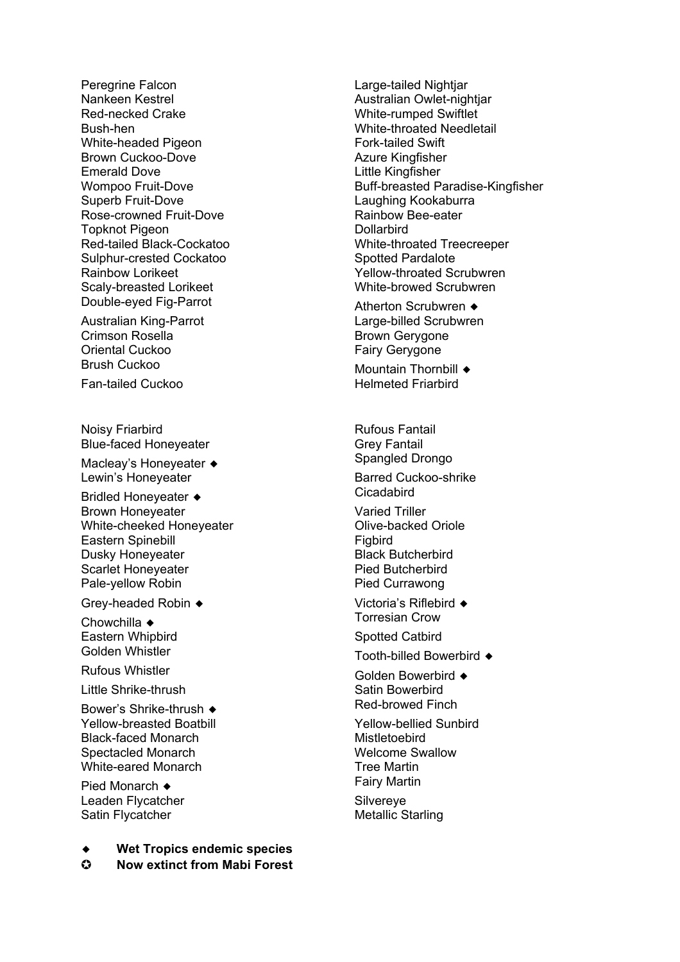Peregrine Falcon **Large-tailed Nightiar** Nankeen Kestrel **Australian Owlet-nightjar** Australian Owlet-nightjar Red-necked Crake White-rumped Swiftlet Bush-hen White-throated Needletail White-headed Pigeon Fork-tailed Swift Brown Cuckoo-Dove **Azure Kingfisher** Azure Kingfisher Emerald Dove **Little Kingfisher** Superb Fruit-Dove Laughing Kookaburra Rose-crowned Fruit-Dove<br>
Tonknot Piaeon<br>
Dollarbird<br>
Dollarbird Topknot Pigeon Sulphur-crested Cockatoo Spotted Pardalote Scaly-breasted Lorikeet White-browed Scrubwren

Australian King-Parrot Crimson Rosella **Brown Gerygone** Oriental Cuckoo **Fairy Gerygone** 

Fan-tailed Cuckoo

Noisy Friarbird **Rufous Fantail** Blue-faced Honeyeater Grey Fantail

Macleay's Honeyeater ◆ Spangled Drongo Lewin's Honeyeater **Barred Cuckoo-shrike** 

Bridled Honeyeater ◆ Cicadabird<br>Brown Honeyeater → Cicadabird Varied Triller Brown Honeyeater White-cheeked Honeyeater **Olive-backed Oriole** Eastern Spinebill **Figbird** Figbird Dusky Honeyeater **Black Butcherbird** Scarlet Honeyeater **Pied Butcherbird** Pale-yellow Robin **Pied Currawong** 

Grey-headed Robin ◆ Victoria's Riflebird ◆

Chowchilla ◆ Torresian Crow<br>
Eastern Whipbird 
Bastern Whippid Eastern Whipbird

Little Shrike-thrush Satin Bowerbird

Bower's Shrike-thrush ◆ <br>
Yellow-breasted Boatbill 
Yellow-breasted Boatbill

Pellow-bellied Sunbird Yellow-breasted Boatbill Black-faced Monarch Mistletoebird Spectacled Monarch Welcome Swallow White-eared Monarch **Tree Martin** 

Leaden Flycatcher Silvereye Satin Flycatcher Metallic Starling

**Wet Tropics endemic species** 

✪ **Now extinct from Mabi Forest**

Wompoo Fruit-Dove **Buff-breasted Paradise-Kingfisher** Red-tailed Black-Cockatoo White-throated Treecreeper Rainbow Lorikeet Yellow-throated Scrubwren

Double-eyed Fig-Parrot <br>
Atherton Scrubwren ◆<br>
Australian King-Parrot 
Australian Australian Australian Australian Australian Australian Australian Australia

Brush Cuckoo Mountain Thornbill ♦<br>Ean-tailed Cuckoo Mountain Thornbill ♦<br>Helmeted Friarbird

Golden Whistler Tooth-billed Bowerbird ◆<br>Rufous Whistler Colden Downshird

Golden Bowerbird ◆

Pied Monarch ◆ Fairy Martin